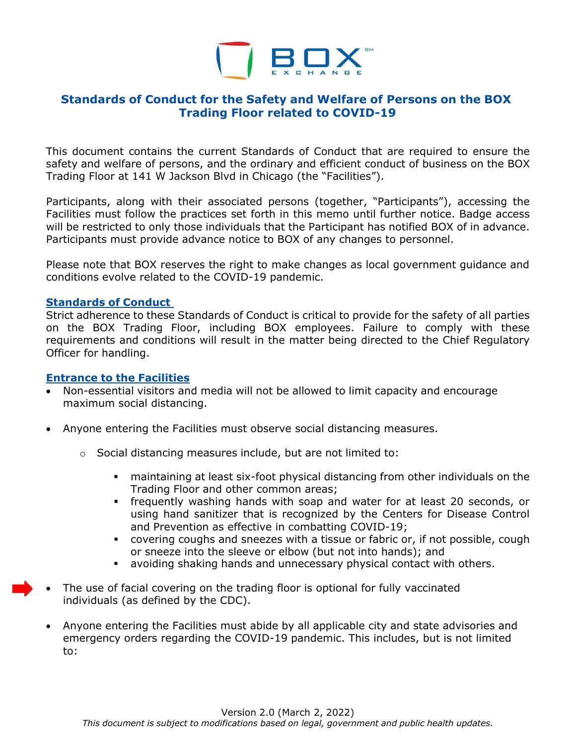

# **Standards of Conduct for the Safety and Welfare of Persons on the BOX Trading Floor related to COVID-19**

This document contains the current Standards of Conduct that are required to ensure the safety and welfare of persons, and the ordinary and efficient conduct of business on the BOX Trading Floor at 141 W Jackson Blvd in Chicago (the "Facilities").

Participants, along with their associated persons (together, "Participants"), accessing the Facilities must follow the practices set forth in this memo until further notice. Badge access will be restricted to only those individuals that the Participant has notified BOX of in advance. Participants must provide advance notice to BOX of any changes to personnel.

Please note that BOX reserves the right to make changes as local government guidance and conditions evolve related to the COVID-19 pandemic.

#### **Standards of Conduct**

Strict adherence to these Standards of Conduct is critical to provide for the safety of all parties on the BOX Trading Floor, including BOX employees. Failure to comply with these requirements and conditions will result in the matter being directed to the Chief Regulatory Officer for handling.

#### **Entrance to the Facilities**

- Non-essential visitors and media will not be allowed to limit capacity and encourage maximum social distancing.
- Anyone entering the Facilities must observe social distancing measures.
	- o Social distancing measures include, but are not limited to:
		- maintaining at least six-foot physical distancing from other individuals on the Trading Floor and other common areas;
		- frequently washing hands with soap and water for at least 20 seconds, or using hand sanitizer that is recognized by the Centers for Disease Control and Prevention as effective in combatting COVID-19;
		- covering coughs and sneezes with a tissue or fabric or, if not possible, cough or sneeze into the sleeve or elbow (but not into hands); and
		- avoiding shaking hands and unnecessary physical contact with others.
- The use of facial covering on the trading floor is optional for fully vaccinated individuals (as defined by the CDC).
- Anyone entering the Facilities must abide by all applicable city and state advisories and emergency orders regarding the COVID-19 pandemic. This includes, but is not limited to: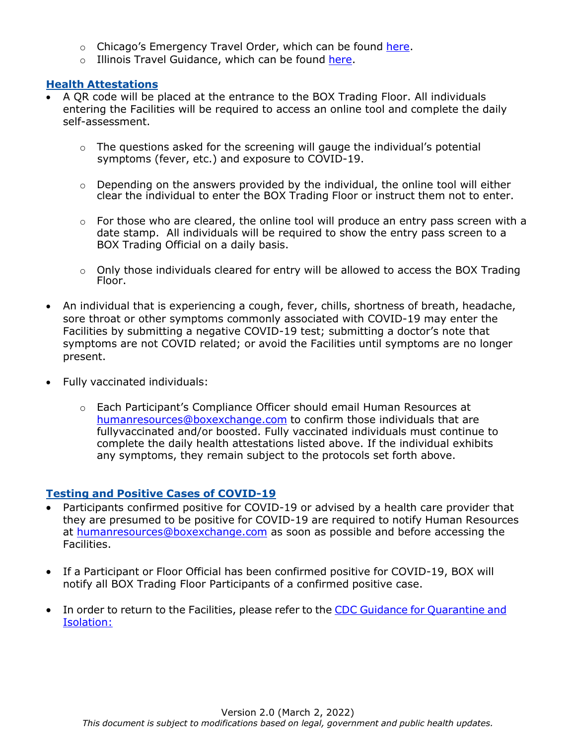- o Chicago's Emergency Travel Order, which can be found [here.](https://www.chicago.gov/city/en/sites/covid-19/home/emergency-travel-order.html)
- o Illinois Travel Guidance, which can be found [here.](https://www.dph.illinois.gov/covid19/travel-safety-guidance)

### **Health Attestations**

- A QR code will be placed at the entrance to the BOX Trading Floor. All individuals entering the Facilities will be required to access an online tool and complete the daily self-assessment.
	- $\circ$  The questions asked for the screening will gauge the individual's potential symptoms (fever, etc.) and exposure to COVID-19.
	- o Depending on the answers provided by the individual, the online tool will either clear the individual to enter the BOX Trading Floor or instruct them not to enter.
	- $\circ$  For those who are cleared, the online tool will produce an entry pass screen with a date stamp. All individuals will be required to show the entry pass screen to a BOX Trading Official on a daily basis.
	- $\circ$  Only those individuals cleared for entry will be allowed to access the BOX Trading Floor.
- An individual that is experiencing a cough, fever, chills, shortness of breath, headache, sore throat or other symptoms commonly associated with COVID-19 may enter the Facilities by submitting a negative COVID-19 test; submitting a doctor's note that symptoms are not COVID related; or avoid the Facilities until symptoms are no longer present.
- Fully vaccinated individuals:
	- o Each Participant's Compliance Officer should email Human Resources at [humanresources@boxexchange.com](mailto:humanresources@boxexchange.com) to confirm those individuals that are fullyvaccinated and/or boosted. Fully vaccinated individuals must continue to complete the daily health attestations listed above. If the individual exhibits any symptoms, they remain subject to the protocols set forth above.

## **Testing and Positive Cases of COVID-19**

- Participants confirmed positive for COVID-19 or advised by a health care provider that they are presumed to be positive for COVID-19 are required to notify Human Resources at [humanresources@boxexchange.com](mailto:humanresources@boxexchange.com) as soon as possible and before accessing the Facilities.
- If a Participant or Floor Official has been confirmed positive for COVID-19, BOX will notify all BOX Trading Floor Participants of a confirmed positive case.
- In order to return to the Facilities, please refer to the CDC Guidance for [Quarantine](https://www.cdc.gov/coronavirus/2019-ncov/your-health/quarantine-isolation.html) and [Isolation:](https://www.cdc.gov/coronavirus/2019-ncov/your-health/quarantine-isolation.html)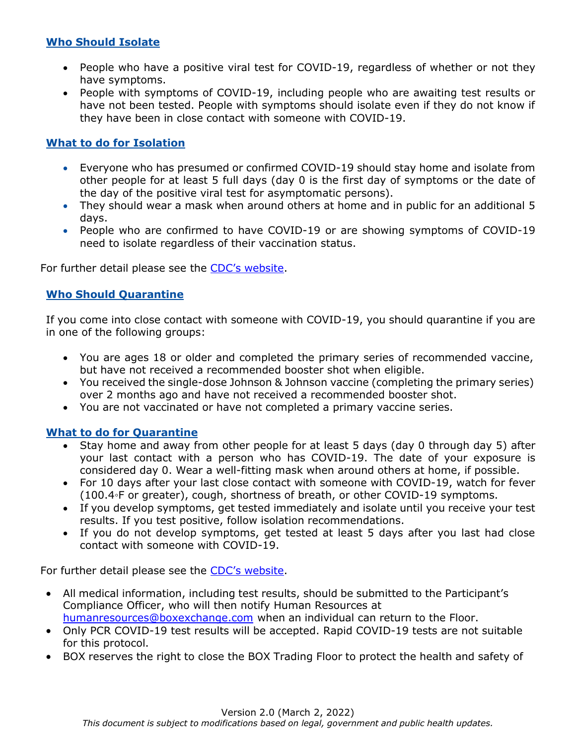# **Who Should Isolate**

- People who have a positive viral test for COVID-19, regardless of whether or not they have symptoms.
- People with symptoms of COVID-19, including people who are awaiting test results or have not been tested. People with symptoms should isolate even if they do not know if they have been in close contact with someone with COVID-19.

# **What to do for Isolation**

- Everyone who has presumed or confirmed COVID-19 should stay home and isolate from other people for at least 5 full days (day 0 is the first day of symptoms or the date of the day of the positive viral test for asymptomatic persons).
- They should wear a mask when around others at home and in public for an additional 5 days.
- People who are confirmed to have COVID-19 or are showing symptoms of COVID-19 need to isolate regardless of their vaccination status.

For further detail please see the CDC's [website.](https://www.cdc.gov/coronavirus/2019-ncov/your-health/quarantine-isolation.html)

## **Who Should Quarantine**

If you come into close contact with someone with COVID-19, you should quarantine if you are in one of the following groups:

- You are ages 18 or older and completed the primary series of recommended vaccine, but have not received a recommended booster shot when eligible.
- You received the single-dose Johnson & Johnson vaccine (completing the primary series) over 2 months ago and have not received a recommended booster shot.
- You are not vaccinated or have not completed a primary vaccine series.

### **What to do for Quarantine**

- Stay home and away from other people for at least 5 days (day 0 through day 5) after your last contact with a person who has COVID-19. The date of your exposure is considered day 0. Wear a well-fitting mask when around others at home, if possible.
- For 10 days after your last close contact with someone with COVID-19, watch for fever (100.4◦F or greater), cough, shortness of breath, or other COVID-19 symptoms.
- If you develop symptoms, get tested immediately and isolate until you receive your test results. If you test positive, follow isolation recommendations.
- If you do not develop symptoms, get tested at least 5 days after you last had close contact with someone with COVID-19.

For further detail please see the CDC's [website.](https://www.cdc.gov/coronavirus/2019-ncov/your-health/quarantine-isolation.html)

- All medical information, including test results, should be submitted to the Participant's Compliance Officer, who will then notify Human Resources at [humanresources@boxexchange.com](mailto:humanresources@boxexchange.com) when an individual can return to the Floor.
- Only PCR COVID-19 test results will be accepted. Rapid COVID-19 tests are not suitable for this protocol.
- BOX reserves the right to close the BOX Trading Floor to protect the health and safety of